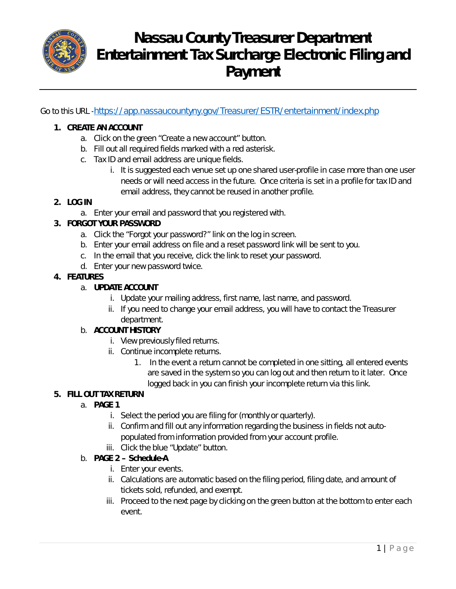

# **Nassau County Treasurer Department Entertainment Tax Surcharge Electronic Filing and Payment**

Go to this URL -https://app.nassaucountyny.gov/Treasurer/ESTR/entertainment/index.php

#### **1. CREATE AN ACCOUNT**

- a. Click on the green "Create a new account" button.
- b. Fill out all required fields marked with a red asterisk.
- c. Tax ID and email address are unique fields.
	- i. It is suggested each venue set up one shared user-profile in case more than one user needs or will need access in the future. Once criteria is set in a profile for tax ID and email address, they cannot be reused in another profile.

#### **2. LOG IN**

a. Enter your email and password that you registered with.

## **3. FORGOT YOUR PASSWORD**

- a. Click the "Forgot your password?" link on the log in screen.
- b. Enter your email address on file and a reset password link will be sent to you.
- c. In the email that you receive, click the link to reset your password.
- d. Enter your new password twice.

## **4. FEATURES**

## a. **UPDATE ACCOUNT**

- i. Update your mailing address, first name, last name, and password.
- ii. If you need to change your email address, you will have to contact the Treasurer department.

#### b. **ACCOUNT HISTORY**

- i. View previously filed returns.
- ii. Continue incomplete returns.
	- 1. In the event a return cannot be completed in one sitting, all entered events are saved in the system so you can log out and then return to it later. Once logged back in you can finish your incomplete return via this link.

# **5. FILL OUT TAX RETURN**

# a. **PAGE 1**

- i. Select the period you are filing for (monthly or quarterly).
- ii. Confirm and fill out any information regarding the business in fields not autopopulated from information provided from your account profile.
- iii. Click the blue "Update" button.
- b. **PAGE 2 – Schedule-A**
	- i. Enter your events.
	- ii. Calculations are automatic based on the filing period, filing date, and amount of tickets sold, refunded, and exempt.
	- iii. Proceed to the next page by clicking on the green button at the bottom to enter each event.